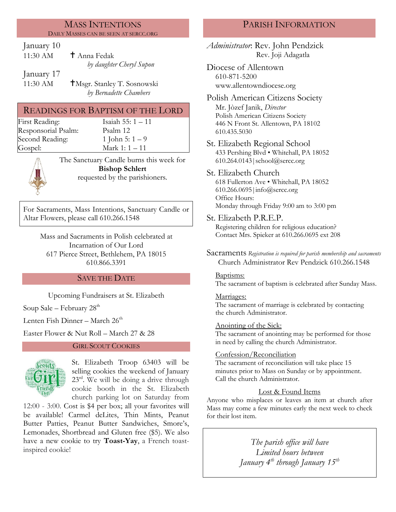#### MASS INTENTIONS DAILY MASSES CAN BE SEEN AT SERCC.ORG

January 10

| 11:30 AM   | <sup>†</sup> Anna Fedak  |
|------------|--------------------------|
|            | by daughter Cheryl Supon |
| January 17 |                          |

11:30 AM **T**Msgr. Stanley T. Sosnowski *by Bernadette Chambers*

## READINGS FOR BAPTISM OF THE LORD

First Reading: Isaiah 55: 1 – 11 Responsorial Psalm: [Psalm](http://www.usccb.org/bible/readings/bible/psalms/25:4) 12 Second Reading:  $1 \text{ John } 5: 1-9$ Gospel: Mark 1: 1 – 11

The Sanctuary Candle burns this week for **Bishop Schlert** requested by the parishioners*.*

For Sacraments, Mass Intentions, Sanctuary Candle or Altar Flowers, please call 610.266.1548

Mass and Sacraments in Polish celebrated at Incarnation of Our Lord 617 Pierce Street, Bethlehem, PA 18015 610.866.3391

## SAVE THE DATE

Upcoming Fundraisers at St. Elizabeth

Soup Sale – February  $28<sup>th</sup>$ 

Lenten Fish Dinner – March 26<sup>th</sup>

Easter Flower & Nut Roll – March 27 & 28

### GIRL SCOUT COOKIES



St. Elizabeth Troop 63403 will be selling cookies the weekend of January  $23<sup>rd</sup>$ . We will be doing a drive through cookie booth in the St. Elizabeth church parking lot on Saturday from

12:00 - 3:00. Cost is \$4 per box; all your favorites will be available! Carmel deLites, Thin Mints, Peanut Butter Patties, Peanut Butter Sandwiches, Smore's, Lemonades, Shortbread and Gluten free (\$5). We also have a new cookie to try **Toast-Yay**, a French toastinspired cookie!

# PARISH INFORMATION

*Administrator*: Rev. John Pendzick Rev. Joji Adagatla

Diocese of Allentown 610-871-5200 www.allentowndiocese.org

Polish American Citizens Society Mr. Jòzef Janik, *Director* Polish American Citizens Society 446 N Front St. Allentown, PA 18102 610.435.5030

St. Elizabeth Regional School 433 Pershing Blvd • Whitehall, PA 18052 610.264.0143|school@sercc.org

St. Elizabeth Church 618 Fullerton Ave • Whitehall, PA 18052 610.266.0695|info@sercc.org Office Hours:

Monday through Friday 9:00 am to 3:00 pm

St. Elizabeth P.R.E.P.

Registering children for religious education? Contact Mrs. Spieker at 610.266.0695 ext 208

Sacraments *Registration is required for parish membership and sacraments* Church Administrator Rev Pendzick 610.266.1548

### Baptisms:

The sacrament of baptism is celebrated after Sunday Mass.

### Marriages:

The sacrament of marriage is celebrated by contacting the church Administrator.

### Anointing of the Sick:

The sacrament of anointing may be performed for those in need by calling the church Administrator.

## Confession/Reconciliation

The sacrament of reconciliation will take place 15 minutes prior to Mass on Sunday or by appointment. Call the church Administrator.

## Lost & Found Items

Anyone who misplaces or leaves an item at church after Mass may come a few minutes early the next week to check for their lost item.

> *The parish office will have Limited hours between January 4th through January 15th*